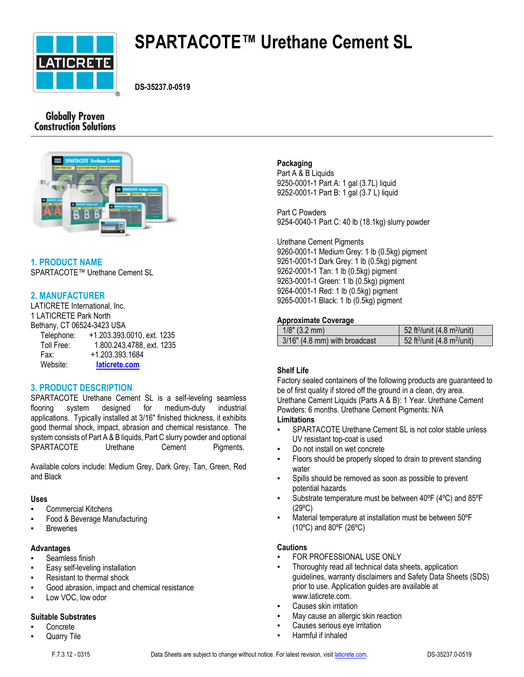

# **SPARTACOTE™ Urethane Cement SL**

**DS-35237.0-0519**

# **Globally Proven Construction Solutions**



# **1. PRODUCT NAME**

SPARTACOTE™ Urethane Cement SL

# **2. MANUFACTURER**

LATICRETE International, Inc. 1 LATICRETE Park North Bethany, CT 06524-3423 USA Telephone: +1.203.393.0010, ext. 1235

 Toll Free: 1.800.243.4788, ext. 1235 Fax: +1.203.393.1684 Website: **[laticrete.com](https://laticrete.com/)**

# **3. PRODUCT DESCRIPTION**

SPARTACOTE Urethane Cement SL is a self-leveling seamless flooring system designed for medium-duty industrial applications. Typically installed at 3/16" finished thickness, it exhibits good thermal shock, impact, abrasion and chemical resistance. The system consists of Part A & B liquids, Part C slurry powder and optional SPARTACOTE Urethane Cement Pigments.

Available colors include: Medium Grey, Dark Grey, Tan, Green, Red and Black

# **Uses**

- Commercial Kitchens
- **Food & Beverage Manufacturing**
- **Breweries**

### **Advantages**

- Seamless finish
- Easy self-leveling installation
- Resistant to thermal shock
- Good abrasion, impact and chemical resistance
- Low VOC, low odor

# **Suitable Substrates**

- **Concrete**
- Quarry Tile

#### F.7.3.12 - 0315 Data Sheets are subject to change without notice. For latest revision, visit [laticrete.com](https://laticrete.com/). DS-35237.0-0519

#### **Packaging**

Part A & B Liquids 9250-0001-1 Part A: 1 gal (3.7L) liquid 9252-0001-1 Part B: 1 gal (3.7 L) liquid

Part C Powders 9254-0040-1 Part C: 40 lb (18.1kg) slurry powder

Urethane Cement Pigments

9260-0001-1 Medium Grey: 1 lb (0.5kg) pigment 9261-0001-1 Dark Grey: 1 lb (0.5kg) pigment 9262-0001-1 Tan: 1 lb (0.5kg) pigment 9263-0001-1 Green: 1 lb (0.5kg) pigment 9264-0001-1 Red: 1 lb (0.5kg) pigment 9265-0001-1 Black: 1 lb (0.5kg) pigment

# **Approximate Coverage**

| $1/8$ " (3.2 mm)              | 52 ft <sup>2</sup> /unit $(4.8 \text{ m}^2/\text{unit})$ |
|-------------------------------|----------------------------------------------------------|
| 3/16" (4.8 mm) with broadcast | 52 ft <sup>2</sup> /unit $(4.8 \text{ m}^2/\text{unit})$ |

# **Shelf Life**

Factory sealed containers of the following products are guaranteed to be of first quality if stored off the ground in a clean, dry area. Urethane Cement Liquids (Parts A & B): 1 Year. Urethane Cement Powders: 6 months. Urethane Cement Pigments: N/A **Limitations**

- SPARTACOTE Urethane Cement SL is not color stable unless UV resistant top-coat is used
- Do not install on wet concrete
- Floors should be properly sloped to drain to prevent standing water
- Spills should be removed as soon as possible to prevent potential hazards
- Substrate temperature must be between  $40^{\circ}F$  (4 $^{\circ}C$ ) and  $85^{\circ}F$ (29ºC)
- Material temperature at installation must be between 50°F (10ºC) and 80ºF (26ºC)

### **Cautions**

- FOR PROFESSIONAL USE ONLY
- Thoroughly read all technical data sheets, application guidelines, warranty disclaimers and Safety Data Sheets (SDS) prior to use. Application guides are available at www.laticrete.com.
- Causes skin irritation
- May cause an allergic skin reaction
- Causes serious eye irritation
- Harmful if inhaled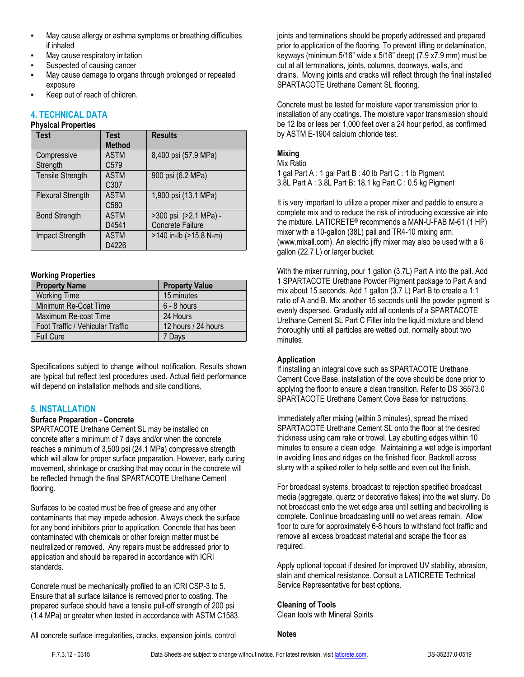- May cause allergy or asthma symptoms or breathing difficulties if inhaled
- May cause respiratory irritation
- Suspected of causing cancer
- May cause damage to organs through prolonged or repeated exposure
- Keep out of reach of children.

#### **4. TECHNICAL DATA Physical Properties**

| <b>Test</b>              | <b>Test</b>       | <b>Results</b>         |
|--------------------------|-------------------|------------------------|
|                          | <b>Method</b>     |                        |
| Compressive              | <b>ASTM</b>       | 8,400 psi (57.9 MPa)   |
| Strength                 | C579              |                        |
| <b>Tensile Strength</b>  | <b>ASTM</b>       | 900 psi (6.2 MPa)      |
|                          | C <sub>3</sub> 07 |                        |
| <b>Flexural Strength</b> | <b>ASTM</b>       | 1,900 psi (13.1 MPa)   |
|                          | C580              |                        |
| <b>Bond Strength</b>     | <b>ASTM</b>       | >300 psi (>2.1 MPa) -  |
|                          | D4541             | Concrete Failure       |
| Impact Strength          | <b>ASTM</b>       | >140 in-lb (>15.8 N-m) |
|                          | D4226             |                        |

# **Working Properties**

| <b>Property Name</b>             | <b>Property Value</b> |  |
|----------------------------------|-----------------------|--|
| <b>Working Time</b>              | 15 minutes            |  |
| Minimum Re-Coat Time             | $6 - 8$ hours         |  |
| Maximum Re-coat Time             | 24 Hours              |  |
| Foot Traffic / Vehicular Traffic | 12 hours / 24 hours   |  |
| <b>Full Cure</b>                 | 7 Days                |  |

Specifications subject to change without notification. Results shown are typical but reflect test procedures used. Actual field performance will depend on installation methods and site conditions.

# **5. INSTALLATION**

### **Surface Preparation - Concrete**

SPARTACOTE Urethane Cement SL may be installed on concrete after a minimum of 7 days and/or when the concrete reaches a minimum of 3,500 psi (24.1 MPa) compressive strength which will allow for proper surface preparation. However, early curing movement, shrinkage or cracking that may occur in the concrete will be reflected through the final SPARTACOTE Urethane Cement flooring.

Surfaces to be coated must be free of grease and any other contaminants that may impede adhesion. Always check the surface for any bond inhibitors prior to application. Concrete that has been contaminated with chemicals or other foreign matter must be neutralized or removed. Any repairs must be addressed prior to application and should be repaired in accordance with ICRI standards.

Concrete must be mechanically profiled to an ICRI CSP-3 to 5. Ensure that all surface laitance is removed prior to coating. The prepared surface should have a tensile pull-off strength of 200 psi (1.4 MPa) or greater when tested in accordance with ASTM C1583. joints and terminations should be properly addressed and prepared prior to application of the flooring. To prevent lifting or delamination, keyways (minimum 5/16" wide x 5/16" deep) (7.9 x7.9 mm) must be cut at all terminations, joints, columns, doorways, walls, and drains. Moving joints and cracks will reflect through the final installed SPARTACOTE Urethane Cement SL flooring.

Concrete must be tested for moisture vapor transmission prior to installation of any coatings. The moisture vapor transmission should be 12 lbs or less per 1,000 feet over a 24 hour period, as confirmed by ASTM E-1904 calcium chloride test.

# **Mixing**

Mix Ratio

1 gal Part A : 1 gal Part B : 40 lb Part C : 1 lb Pigment 3.8L Part A : 3.8L Part B: 18.1 kg Part C : 0.5 kg Pigment

It is very important to utilize a proper mixer and paddle to ensure a complete mix and to reduce the risk of introducing excessive air into the mixture. LATICRETE® recommends a MAN-U-FAB M-61 (1 HP) mixer with a 10-gallon (38L) pail and TR4-10 mixing arm. (www.mixall.com). An electric jiffy mixer may also be used with a 6 gallon (22.7 L) or larger bucket.

With the mixer running, pour 1 gallon (3.7L) Part A into the pail. Add 1 SPARTACOTE Urethane Powder Pigment package to Part A and mix about 15 seconds. Add 1 gallon (3.7 L) Part B to create a 1:1 ratio of A and B. Mix another 15 seconds until the powder pigment is evenly dispersed. Gradually add all contents of a SPARTACOTE Urethane Cement SL Part C Filler into the liquid mixture and blend thoroughly until all particles are wetted out, normally about two minutes.

# **Application**

If installing an integral cove such as SPARTACOTE Urethane Cement Cove Base, installation of the cove should be done prior to applying the floor to ensure a clean transition. Refer to DS 36573.0 SPARTACOTE Urethane Cement Cove Base for instructions.

Immediately after mixing (within 3 minutes), spread the mixed SPARTACOTE Urethane Cement SL onto the floor at the desired thickness using cam rake or trowel. Lay abutting edges within 10 minutes to ensure a clean edge. Maintaining a wet edge is important in avoiding lines and ridges on the finished floor. Backroll across slurry with a spiked roller to help settle and even out the finish.

For broadcast systems, broadcast to rejection specified broadcast media (aggregate, quartz or decorative flakes) into the wet slurry. Do not broadcast onto the wet edge area until settling and backrolling is complete. Continue broadcasting until no wet areas remain. Allow floor to cure for approximately 6-8 hours to withstand foot traffic and remove all excess broadcast material and scrape the floor as required.

Apply optional topcoat if desired for improved UV stability, abrasion, stain and chemical resistance. Consult a LATICRETE Technical Service Representative for best options.

### **Cleaning of Tools**

Clean tools with Mineral Spirits

All concrete surface irregularities, cracks, expansion joints, control